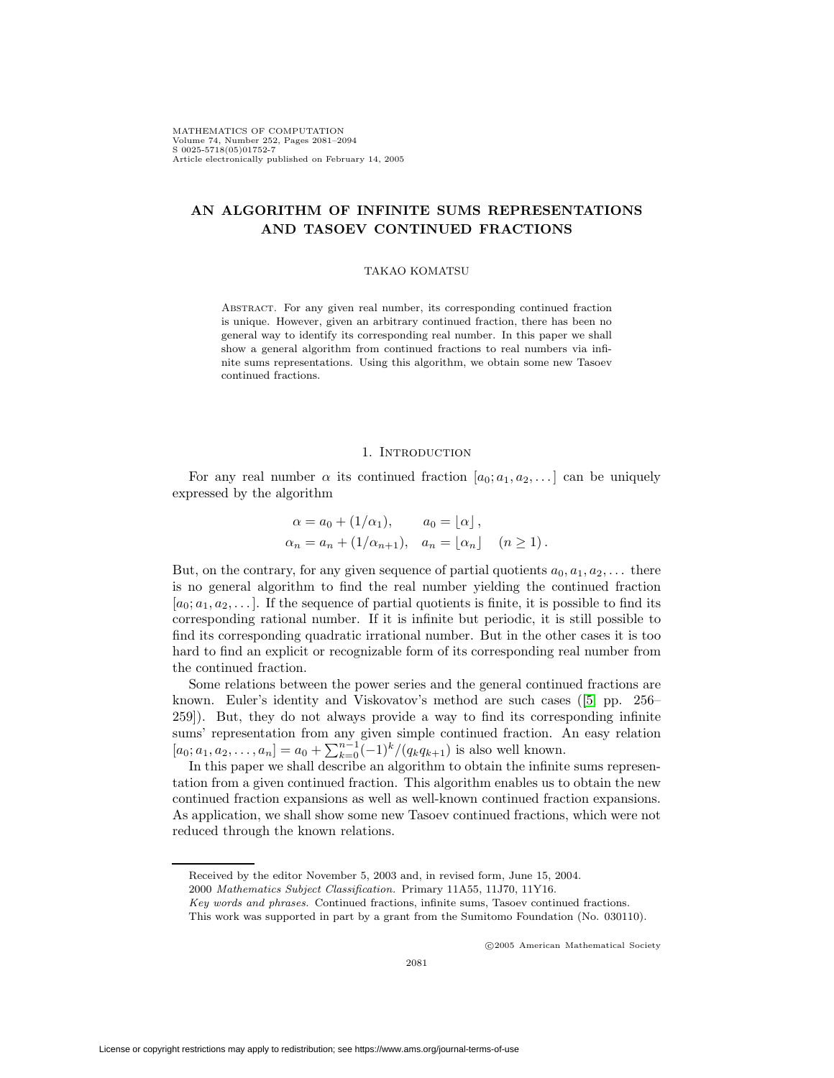# **AN ALGORITHM OF INFINITE SUMS REPRESENTATIONS AND TASOEV CONTINUED FRACTIONS**

#### TAKAO KOMATSU

Abstract. For any given real number, its corresponding continued fraction is unique. However, given an arbitrary continued fraction, there has been no general way to identify its corresponding real number. In this paper we shall show a general algorithm from continued fractions to real numbers via infinite sums representations. Using this algorithm, we obtain some new Tasoev continued fractions.

#### 1. INTRODUCTION

For any real number  $\alpha$  its continued fraction  $[a_0; a_1, a_2,...]$  can be uniquely expressed by the algorithm

$$
\alpha = a_0 + (1/\alpha_1), \qquad a_0 = \lfloor \alpha \rfloor, \n\alpha_n = a_n + (1/\alpha_{n+1}), \quad a_n = \lfloor \alpha_n \rfloor \quad (n \ge 1).
$$

But, on the contrary, for any given sequence of partial quotients  $a_0, a_1, a_2, \ldots$  there is no general algorithm to find the real number yielding the continued fraction  $[a_0; a_1, a_2,...]$ . If the sequence of partial quotients is finite, it is possible to find its corresponding rational number. If it is infinite but periodic, it is still possible to find its corresponding quadratic irrational number. But in the other cases it is too hard to find an explicit or recognizable form of its corresponding real number from the continued fraction.

Some relations between the power series and the general continued fractions are known. Euler's identity and Viskovatov's method are such cases ([\[5,](#page-13-0) pp. 256– 259]). But, they do not always provide a way to find its corresponding infinite sums' representation from any given simple continued fraction. An easy relation  $[a_0; a_1, a_2,..., a_n] = a_0 + \sum_{k=0}^{n-1} (-1)^k / (q_k q_{k+1})$  is also well known.

In this paper we shall describe an algorithm to obtain the infinite sums representation from a given continued fraction. This algorithm enables us to obtain the new continued fraction expansions as well as well-known continued fraction expansions. As application, we shall show some new Tasoev continued fractions, which were not reduced through the known relations.

c 2005 American Mathematical Society

Received by the editor November 5, 2003 and, in revised form, June 15, 2004.

<sup>2000</sup> Mathematics Subject Classification. Primary 11A55, 11J70, 11Y16.

Key words and phrases. Continued fractions, infinite sums, Tasoev continued fractions.

This work was supported in part by a grant from the Sumitomo Foundation (No. 030110).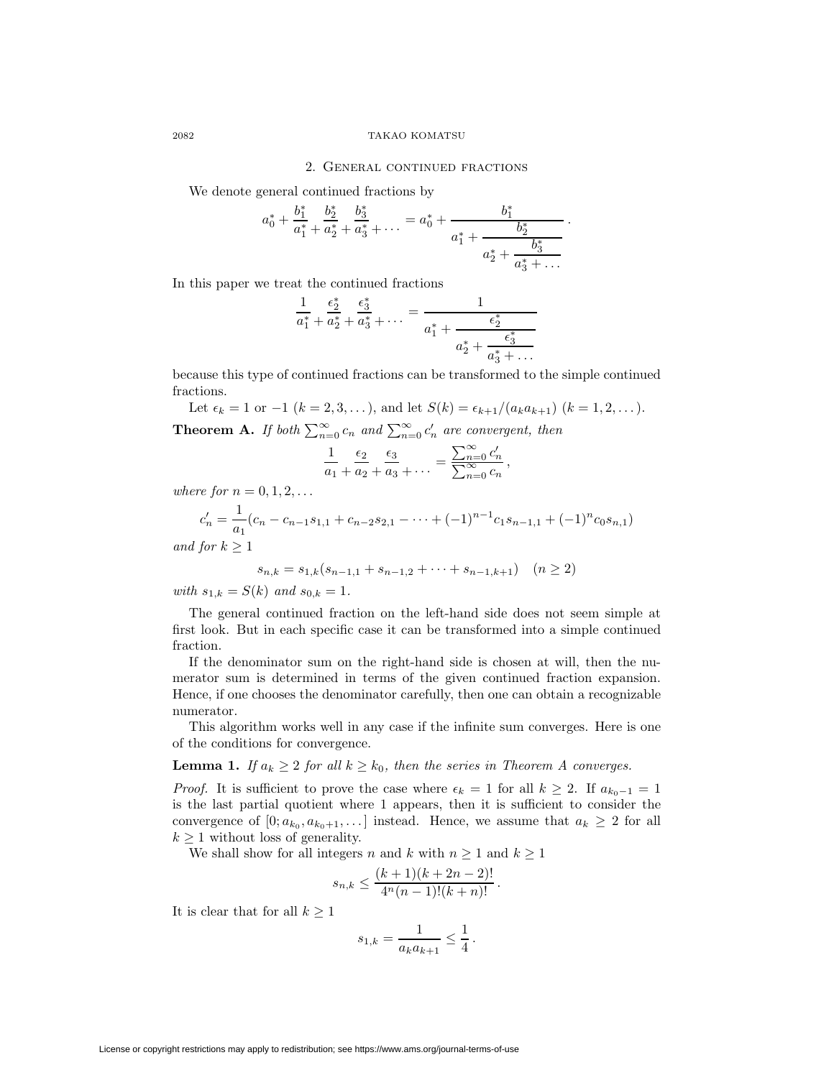#### 2082 TAKAO KOMATSU

#### 2. General continued fractions

We denote general continued fractions by

$$
a_0^* + \frac{b_1^*}{a_1^*} + \frac{b_2^*}{a_2^*} + \frac{b_3^*}{a_3^*} + \dots = a_0^* + \frac{b_1^*}{a_1^* + \frac{b_2^*}{a_2^* + \frac{b_3^*}{a_3^* + \dots}}}.
$$

In this paper we treat the continued fractions

$$
\frac{1}{a_1^*} + \frac{\epsilon_2^*}{a_2^*} + \frac{\epsilon_3^*}{a_3^*} + \dots = \frac{1}{a_1^* + \frac{\epsilon_2^*}{a_2^* + \frac{\epsilon_3^*}{a_3^* + \dotsb}}}
$$

because this type of continued fractions can be transformed to the simple continued fractions.

Let  $\epsilon_k = 1$  or  $-1$   $(k = 2, 3, ...)$ , and let  $S(k) = \epsilon_{k+1}/(a_k a_{k+1})$   $(k = 1, 2, ...)$ . **Theorem A.** If both  $\sum_{n=0}^{\infty} c_n$  and  $\sum_{n=0}^{\infty} c'_n$  are convergent, then

$$
\frac{1}{a_1} + \frac{\epsilon_2}{a_2} + \frac{\epsilon_3}{a_3} + \dots = \frac{\sum_{n=0}^{\infty} c'_n}{\sum_{n=0}^{\infty} c_n},
$$

where for  $n = 0, 1, 2, \ldots$ 

$$
c'_n = \frac{1}{a_1}(c_n - c_{n-1}s_{1,1} + c_{n-2}s_{2,1} - \dots + (-1)^{n-1}c_1s_{n-1,1} + (-1)^n c_0s_{n,1})
$$

and for  $k \geq 1$ 

$$
s_{n,k} = s_{1,k}(s_{n-1,1} + s_{n-1,2} + \dots + s_{n-1,k+1}) \quad (n \ge 2)
$$

with  $s_{1,k} = S(k)$  and  $s_{0,k} = 1$ .

The general continued fraction on the left-hand side does not seem simple at first look. But in each specific case it can be transformed into a simple continued fraction.

If the denominator sum on the right-hand side is chosen at will, then the numerator sum is determined in terms of the given continued fraction expansion. Hence, if one chooses the denominator carefully, then one can obtain a recognizable numerator.

This algorithm works well in any case if the infinite sum converges. Here is one of the conditions for convergence.

**Lemma 1.** If  $a_k \geq 2$  for all  $k \geq k_0$ , then the series in Theorem A converges.

*Proof.* It is sufficient to prove the case where  $\epsilon_k = 1$  for all  $k \geq 2$ . If  $a_{k_0-1} = 1$ is the last partial quotient where 1 appears, then it is sufficient to consider the convergence of  $[0; a_{k_0}, a_{k_0+1}, \ldots]$  instead. Hence, we assume that  $a_k \geq 2$  for all  $k \geq 1$  without loss of generality.

We shall show for all integers n and k with  $n \geq 1$  and  $k \geq 1$ 

$$
s_{n,k} \le \frac{(k+1)(k+2n-2)!}{4^n(n-1)!(k+n)!}.
$$

It is clear that for all  $k \geq 1$ 

$$
s_{1,k} = \frac{1}{a_k a_{k+1}} \le \frac{1}{4} \, .
$$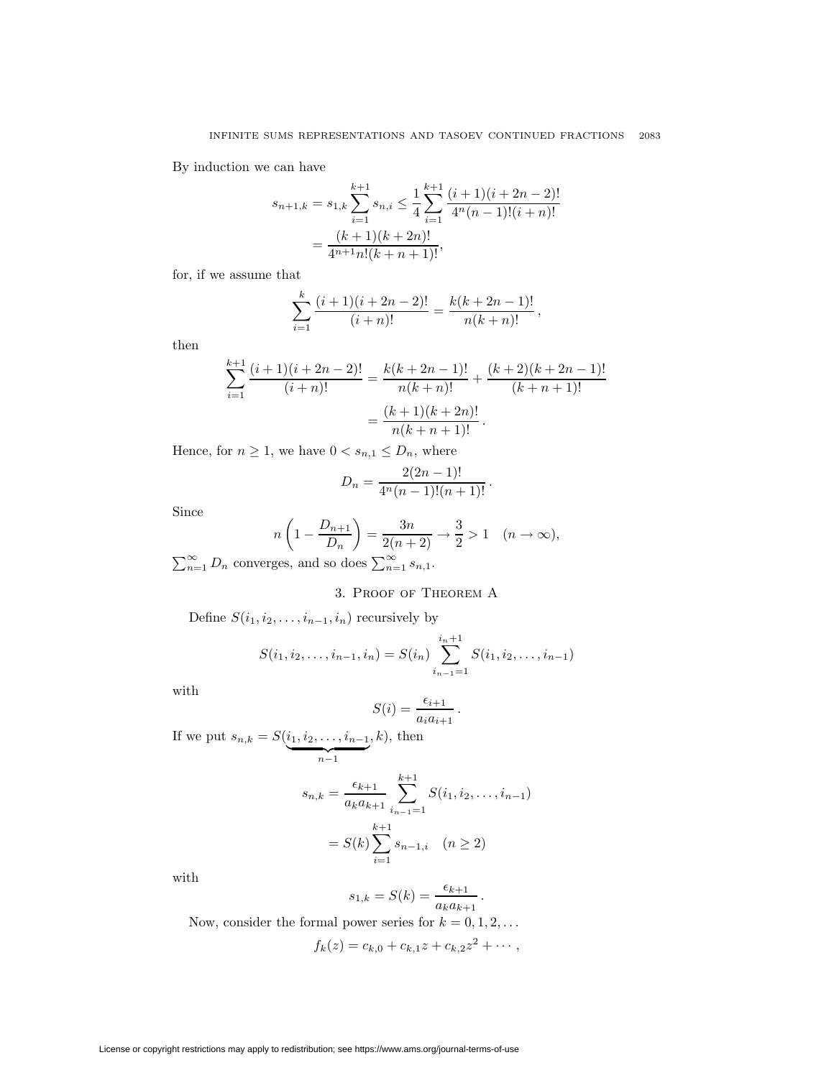By induction we can have

$$
s_{n+1,k} = s_{1,k} \sum_{i=1}^{k+1} s_{n,i} \le \frac{1}{4} \sum_{i=1}^{k+1} \frac{(i+1)(i+2n-2)!}{4^n (n-1)!(i+n)!}
$$

$$
= \frac{(k+1)(k+2n)!}{4^{n+1} n!(k+n+1)!},
$$

for, if we assume that

$$
\sum_{i=1}^{k} \frac{(i+1)(i+2n-2)!}{(i+n)!} = \frac{k(k+2n-1)!}{n(k+n)!},
$$

then

$$
\sum_{i=1}^{k+1} \frac{(i+1)(i+2n-2)!}{(i+n)!} = \frac{k(k+2n-1)!}{n(k+n)!} + \frac{(k+2)(k+2n-1)!}{(k+n+1)!}
$$

$$
= \frac{(k+1)(k+2n)!}{n(k+n+1)!}.
$$

Hence, for  $n \geq 1$ , we have  $0 < s_{n,1} \leq D_n$ , where

$$
D_n = \frac{2(2n-1)!}{4^n(n-1)!(n+1)!}.
$$

Since

$$
n\left(1 - \frac{D_{n+1}}{D_n}\right) = \frac{3n}{2(n+2)} \to \frac{3}{2} > 1 \quad (n \to \infty),
$$

 $\sum_{n=1}^{\infty} D_n$  converges, and so does  $\sum_{n=1}^{\infty} s_{n,1}$ .

# 3. Proof of Theorem A

Define  $S(i_1, i_2, \ldots, i_{n-1}, i_n)$  recursively by

$$
S(i_1, i_2, \dots, i_{n-1}, i_n) = S(i_n) \sum_{i_{n-1}=1}^{i_n+1} S(i_1, i_2, \dots, i_{n-1})
$$

with

$$
S(i) = \frac{\epsilon_{i+1}}{a_i a_{i+1}}.
$$

If we put  $s_{n,k} = S(i_1, i_2, \ldots, i_{n-1})$  $\sum_{n-1}$  $, k),$  then

$$
s_{n,k} = \frac{\epsilon_{k+1}}{a_k a_{k+1}} \sum_{i_{n-1}=1}^{k+1} S(i_1, i_2, \dots, i_{n-1})
$$

$$
= S(k) \sum_{i=1}^{k+1} s_{n-1,i} \quad (n \ge 2)
$$

with

$$
s_{1,k} = S(k) = \frac{\epsilon_{k+1}}{a_k a_{k+1}}.
$$

Now, consider the formal power series for  $k = 0, 1, 2, \ldots$  $f_k(z) = c_{k,0} + c_{k,1}z + c_{k,2}z^2 + \cdots,$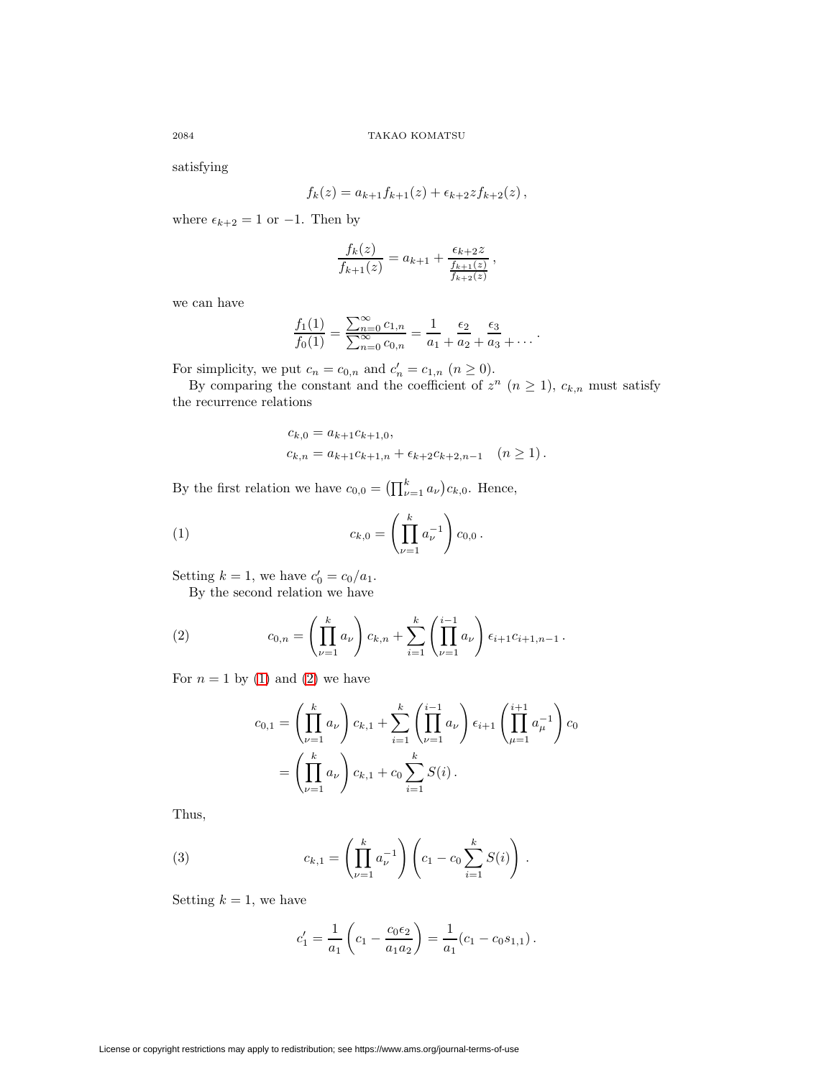satisfying

$$
f_k(z) = a_{k+1} f_{k+1}(z) + \epsilon_{k+2} z f_{k+2}(z),
$$

where  $\epsilon_{k+2} = 1$  or  $-1$ . Then by

$$
\frac{f_k(z)}{f_{k+1}(z)} = a_{k+1} + \frac{\epsilon_{k+2}z}{\frac{f_{k+1}(z)}{f_{k+2}(z)}},
$$

we can have

$$
\frac{f_1(1)}{f_0(1)} = \frac{\sum_{n=0}^{\infty} c_{1,n}}{\sum_{n=0}^{\infty} c_{0,n}} = \frac{1}{a_1 + a_2 + a_3 + \cdots}.
$$

For simplicity, we put  $c_n = c_{0,n}$  and  $c'_n = c_{1,n}$   $(n \ge 0)$ .

By comparing the constant and the coefficient of  $z^n$   $(n \geq 1)$ ,  $c_{k,n}$  must satisfy the recurrence relations

<span id="page-3-0"></span>
$$
c_{k,0} = a_{k+1}c_{k+1,0},
$$
  
\n
$$
c_{k,n} = a_{k+1}c_{k+1,n} + \epsilon_{k+2}c_{k+2,n-1} \quad (n \ge 1).
$$

By the first relation we have  $c_{0,0} = \left(\prod_{\nu=1}^k a_{\nu}\right) c_{k,0}$ . Hence,

(1) 
$$
c_{k,0} = \left(\prod_{\nu=1}^k a_{\nu}^{-1}\right) c_{0,0}.
$$

Setting  $k = 1$ , we have  $c'_0 = c_0/a_1$ .

<span id="page-3-1"></span>By the second relation we have

(2) 
$$
c_{0,n} = \left(\prod_{\nu=1}^k a_{\nu}\right) c_{k,n} + \sum_{i=1}^k \left(\prod_{\nu=1}^{i-1} a_{\nu}\right) \epsilon_{i+1} c_{i+1,n-1}.
$$

For  $n = 1$  by [\(1\)](#page-3-0) and [\(2\)](#page-3-1) we have

$$
c_{0,1} = \left(\prod_{\nu=1}^k a_{\nu}\right) c_{k,1} + \sum_{i=1}^k \left(\prod_{\nu=1}^{i-1} a_{\nu}\right) \epsilon_{i+1} \left(\prod_{\mu=1}^{i+1} a_{\mu}^{-1}\right) c_0
$$
  
=  $\left(\prod_{\nu=1}^k a_{\nu}\right) c_{k,1} + c_0 \sum_{i=1}^k S(i).$ 

<span id="page-3-2"></span>Thus,

(3) 
$$
c_{k,1} = \left(\prod_{\nu=1}^k a_{\nu}^{-1}\right) \left(c_1 - c_0 \sum_{i=1}^k S(i)\right).
$$

Setting  $k = 1$ , we have

$$
c_1' = \frac{1}{a_1} \left( c_1 - \frac{c_0 \epsilon_2}{a_1 a_2} \right) = \frac{1}{a_1} (c_1 - c_0 s_{1,1}).
$$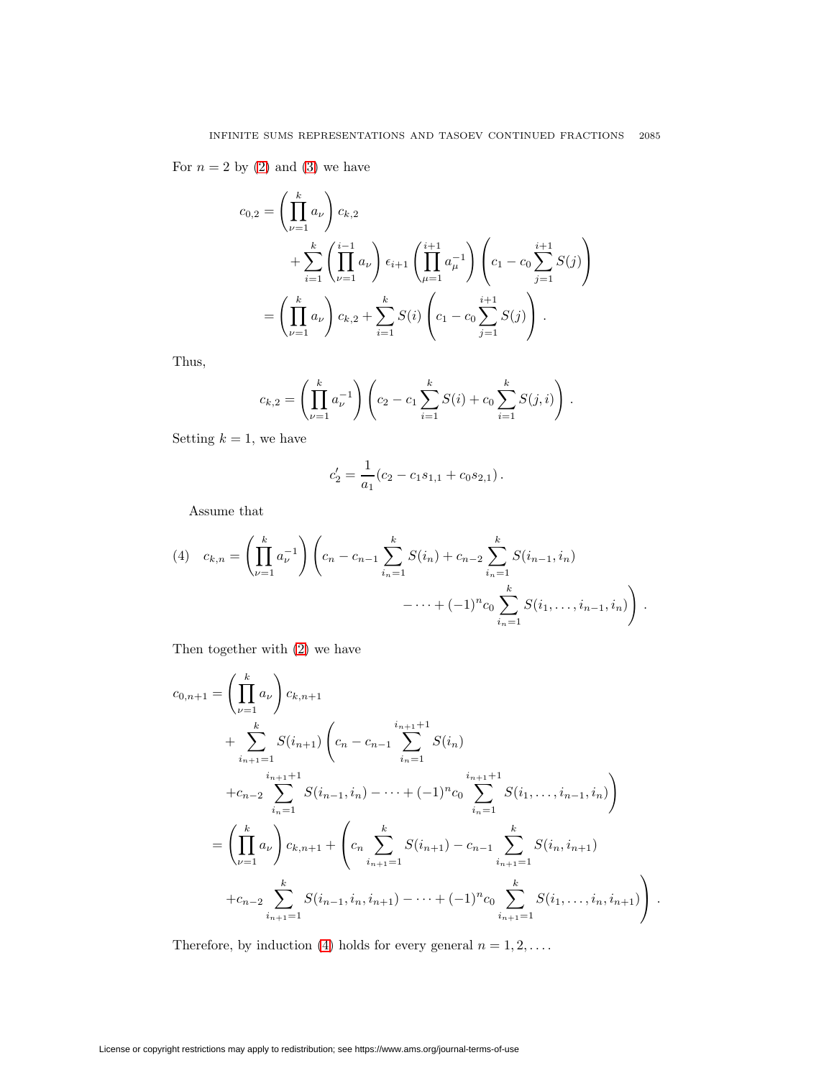For  $n = 2$  by  $(2)$  and  $(3)$  we have

$$
c_{0,2} = \left(\prod_{\nu=1}^{k} a_{\nu}\right) c_{k,2}
$$
  
+ 
$$
\sum_{i=1}^{k} \left(\prod_{\nu=1}^{i-1} a_{\nu}\right) \epsilon_{i+1} \left(\prod_{\mu=1}^{i+1} a_{\mu}^{-1}\right) \left(c_{1} - c_{0} \sum_{j=1}^{i+1} S(j)\right)
$$
  
= 
$$
\left(\prod_{\nu=1}^{k} a_{\nu}\right) c_{k,2} + \sum_{i=1}^{k} S(i) \left(c_{1} - c_{0} \sum_{j=1}^{i+1} S(j)\right).
$$

Thus,

$$
c_{k,2} = \left(\prod_{\nu=1}^k a_{\nu}^{-1}\right) \left(c_2 - c_1 \sum_{i=1}^k S(i) + c_0 \sum_{i=1}^k S(j,i)\right).
$$

Setting  $k = 1$ , we have

$$
c_2' = \frac{1}{a_1}(c_2 - c_1 s_{1,1} + c_0 s_{2,1}).
$$

Assume that

<span id="page-4-0"></span>(4) 
$$
c_{k,n} = \left(\prod_{\nu=1}^k a_{\nu}^{-1}\right) \left(c_n - c_{n-1} \sum_{i_n=1}^k S(i_n) + c_{n-2} \sum_{i_n=1}^k S(i_{n-1}, i_n) - \cdots + (-1)^n c_0 \sum_{i_n=1}^k S(i_1, \ldots, i_{n-1}, i_n)\right).
$$

Then together with [\(2\)](#page-3-1) we have

$$
c_{0,n+1} = \left(\prod_{\nu=1}^{k} a_{\nu}\right) c_{k,n+1}
$$
  
+ 
$$
\sum_{i_{n+1}=1}^{k} S(i_{n+1}) \left(c_{n} - c_{n-1} \sum_{i_{n}=1}^{i_{n+1}+1} S(i_{n})\right)
$$
  
+ 
$$
c_{n-2} \sum_{i_{n}=1}^{i_{n+1}+1} S(i_{n-1}, i_{n}) - \dots + (-1)^{n} c_{0} \sum_{i_{n}=1}^{i_{n+1}+1} S(i_{1}, \dots, i_{n-1}, i_{n})
$$
  
= 
$$
\left(\prod_{\nu=1}^{k} a_{\nu}\right) c_{k,n+1} + \left(c_{n} \sum_{i_{n+1}=1}^{k} S(i_{n+1}) - c_{n-1} \sum_{i_{n+1}=1}^{k} S(i_{n}, i_{n+1}) + c_{n-2} \sum_{i_{n+1}=1}^{k} S(i_{n-1}, i_{n}, i_{n+1}) - \dots + (-1)^{n} c_{0} \sum_{i_{n+1}=1}^{k} S(i_{1}, \dots, i_{n}, i_{n+1})\right)
$$

 $\blacksquare$ 

Therefore, by induction [\(4\)](#page-4-0) holds for every general  $n = 1, 2, \ldots$ .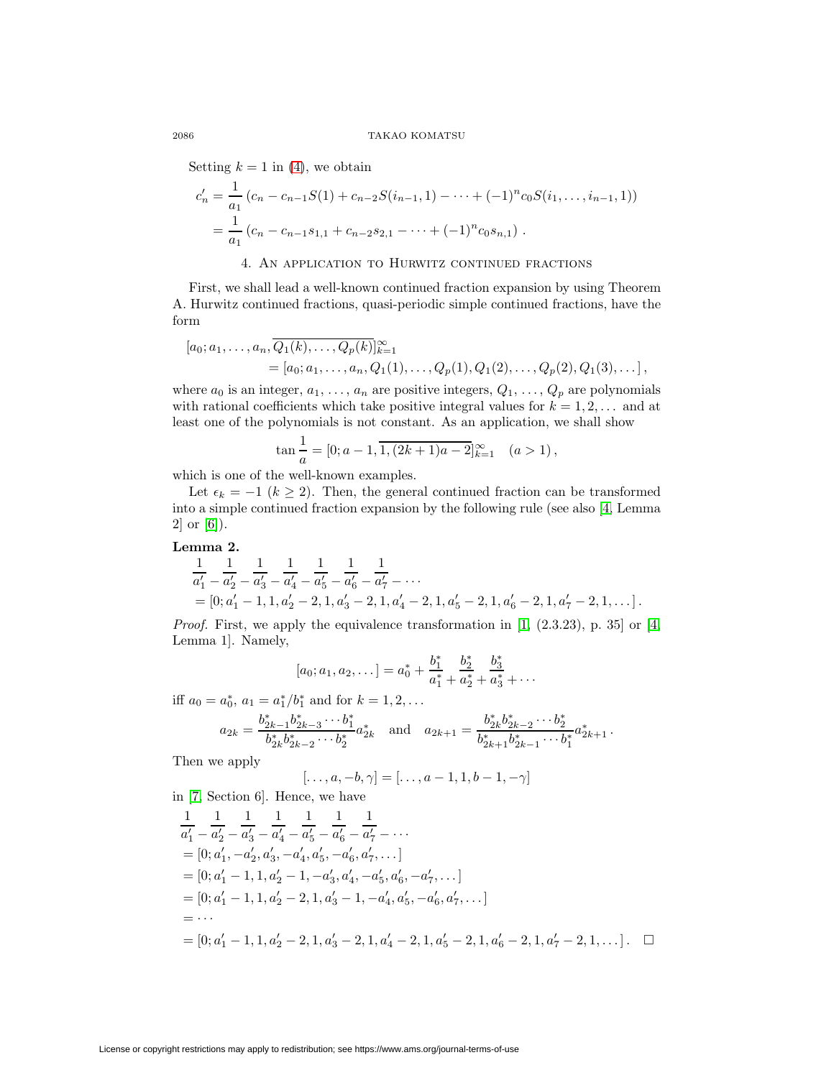Setting  $k = 1$  in [\(4\)](#page-4-0), we obtain

$$
c'_{n} = \frac{1}{a_{1}} (c_{n} - c_{n-1}S(1) + c_{n-2}S(i_{n-1}, 1) - \dots + (-1)^{n} c_{0}S(i_{1}, \dots, i_{n-1}, 1))
$$
  
= 
$$
\frac{1}{a_{1}} (c_{n} - c_{n-1}s_{1,1} + c_{n-2}s_{2,1} - \dots + (-1)^{n} c_{0}s_{n,1}).
$$

### 4. An application to Hurwitz continued fractions

First, we shall lead a well-known continued fraction expansion by using Theorem A. Hurwitz continued fractions, quasi-periodic simple continued fractions, have the form

$$
[a_0; a_1, \ldots, a_n, \overline{Q_1(k), \ldots, Q_p(k)}]_{k=1}^{\infty}
$$
  
= 
$$
[a_0; a_1, \ldots, a_n, Q_1(1), \ldots, Q_p(1), Q_1(2), \ldots, Q_p(2), Q_1(3), \ldots],
$$

where  $a_0$  is an integer,  $a_1, \ldots, a_n$  are positive integers,  $Q_1, \ldots, Q_p$  are polynomials with rational coefficients which take positive integral values for  $k = 1, 2, \ldots$  and at least one of the polynomials is not constant. As an application, we shall show

$$
\tan\frac{1}{a} = [0; a-1, \overline{1, (2k+1)a-2}]_{k=1}^{\infty} \quad (a>1),
$$

which is one of the well-known examples.

Let  $\epsilon_k = -1$  ( $k \ge 2$ ). Then, the general continued fraction can be transformed into a simple continued fraction expansion by the following rule (see also [\[4,](#page-13-1) Lemma 2] or [\[6\]](#page-13-2)).

#### **Lemma 2.**

$$
\frac{1}{a'_1} - \frac{1}{a'_2} - \frac{1}{a'_3} - \frac{1}{a'_4} - \frac{1}{a'_5} - \frac{1}{a'_6} - \frac{1}{a'_7} - \cdots
$$
  
= [0; a'\_1 - 1, 1, a'\_2 - 2, 1, a'\_3 - 2, 1, a'\_4 - 2, 1, a'\_5 - 2, 1, a'\_6 - 2, 1, a'\_7 - 2, 1, \cdots].

*Proof.* First, we apply the equivalence transformation in  $[1, (2.3.23), p. 35]$  $[1, (2.3.23), p. 35]$  or  $[4,$ Lemma 1]. Namely,

$$
[a_0; a_1, a_2, \ldots] = a_0^* + \frac{b_1^*}{a_1^*} + \frac{b_2^*}{a_2^*} + \frac{b_3^*}{a_3^*} + \ldots
$$

iff  $a_0 = a_0^*$ ,  $a_1 = a_1^*/b_1^*$  and for  $k = 1, 2, ...$ 

$$
a_{2k} = \frac{b_{2k-1}^* b_{2k-3}^* \cdots b_1^*}{b_{2k}^* b_{2k-2}^* \cdots b_2^*} a_{2k}^* \text{ and } a_{2k+1} = \frac{b_{2k}^* b_{2k-2}^* \cdots b_2^*}{b_{2k+1}^* b_{2k-1}^* \cdots b_1^*} a_{2k+1}^*.
$$

Then we apply

$$
[\ldots, a, -b, \gamma] = [\ldots, a-1, 1, b-1, -\gamma]
$$

in [\[7,](#page-13-4) Section 6]. Hence, we have

$$
\frac{1}{a'_1} - \frac{1}{a'_2} - \frac{1}{a'_3} - \frac{1}{a'_4} - \frac{1}{a'_5} - \frac{1}{a'_6} - \frac{1}{a'_7} - \cdots
$$
\n= [0; a'\_1, -a'\_2, a'\_3, -a'\_4, a'\_5, -a'\_6, a'\_7, \dots ]\n  
\n= [0; a'\_1 - 1, 1, a'\_2 - 1, -a'\_3, a'\_4, -a'\_5, a'\_6, -a'\_7, \dots ]\n  
\n= [0; a'\_1 - 1, 1, a'\_2 - 2, 1, a'\_3 - 1, -a'\_4, a'\_5, -a'\_6, a'\_7, \dots ]\n  
\n= \cdots\n  
\n= [0; a'\_1 - 1, 1, a'\_2 - 2, 1, a'\_3 - 2, 1, a'\_4 - 2, 1, a'\_5 - 2, 1, a'\_6 - 2, 1, a'\_7 - 2, 1, \dots ]. \square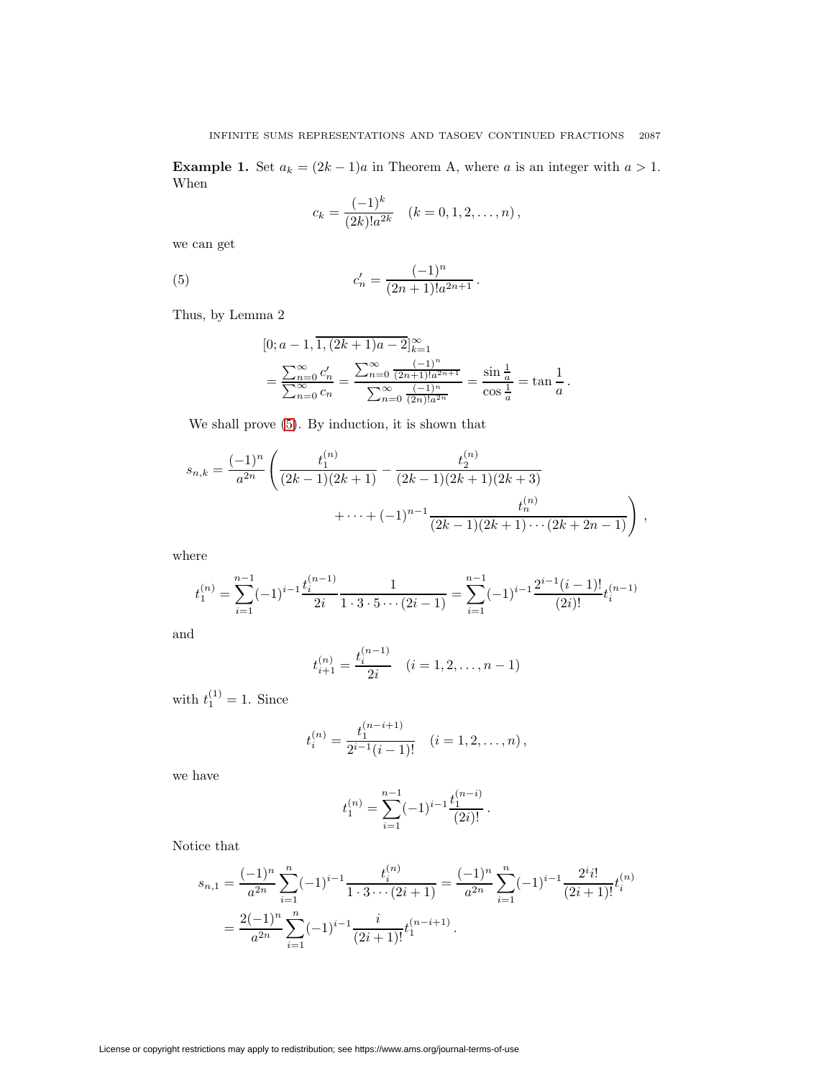**Example 1.** Set  $a_k = (2k - 1)a$  in Theorem A, where a is an integer with  $a > 1$ . When

$$
c_k = \frac{(-1)^k}{(2k)!a^{2k}} \quad (k = 0, 1, 2, \dots, n),
$$

<span id="page-6-0"></span>we can get

(5) 
$$
c'_n = \frac{(-1)^n}{(2n+1)!a^{2n+1}}.
$$

Thus, by Lemma 2

$$
[0;a-1,1,(2k+1)a-2]_{k=1}^{\infty}
$$

$$
=\frac{\sum_{n=0}^{\infty} c'_n}{\sum_{n=0}^{\infty} c_n} = \frac{\sum_{n=0}^{\infty} \frac{(-1)^n}{(2n+1)!a^{2n+1}}}{\sum_{n=0}^{\infty} \frac{(-1)^n}{(2n)!a^{2n}}} = \frac{\sin\frac{1}{a}}{\cos\frac{1}{a}} = \tan\frac{1}{a}.
$$

We shall prove [\(5\)](#page-6-0). By induction, it is shown that

$$
s_{n,k} = \frac{(-1)^n}{a^{2n}} \left( \frac{t_1^{(n)}}{(2k-1)(2k+1)} - \frac{t_2^{(n)}}{(2k-1)(2k+1)(2k+3)} + \dots + (-1)^{n-1} \frac{t_n^{(n)}}{(2k-1)(2k+1)\cdots(2k+2n-1)} \right),
$$

where

$$
t_1^{(n)} = \sum_{i=1}^{n-1} (-1)^{i-1} \frac{t_i^{(n-1)}}{2i} \frac{1}{1 \cdot 3 \cdot 5 \cdots (2i-1)} = \sum_{i=1}^{n-1} (-1)^{i-1} \frac{2^{i-1} (i-1)!}{(2i)!} t_i^{(n-1)}
$$

and

$$
t_{i+1}^{(n)} = \frac{t_i^{(n-1)}}{2i} \quad (i = 1, 2, \dots, n-1)
$$

with  $t_1^{(1)} = 1$ . Since

$$
t_i^{(n)} = \frac{t_1^{(n-i+1)}}{2^{i-1}(i-1)!} \quad (i = 1, 2, \dots, n),
$$

we have

$$
t_1^{(n)} = \sum_{i=1}^{n-1} (-1)^{i-1} \frac{t_1^{(n-i)}}{(2i)!}.
$$

Notice that

$$
s_{n,1} = \frac{(-1)^n}{a^{2n}} \sum_{i=1}^n (-1)^{i-1} \frac{t_i^{(n)}}{1 \cdot 3 \cdots (2i+1)} = \frac{(-1)^n}{a^{2n}} \sum_{i=1}^n (-1)^{i-1} \frac{2^i i!}{(2i+1)!} t_i^{(n)}
$$
  
= 
$$
\frac{2(-1)^n}{a^{2n}} \sum_{i=1}^n (-1)^{i-1} \frac{i}{(2i+1)!} t_1^{(n-i+1)}.
$$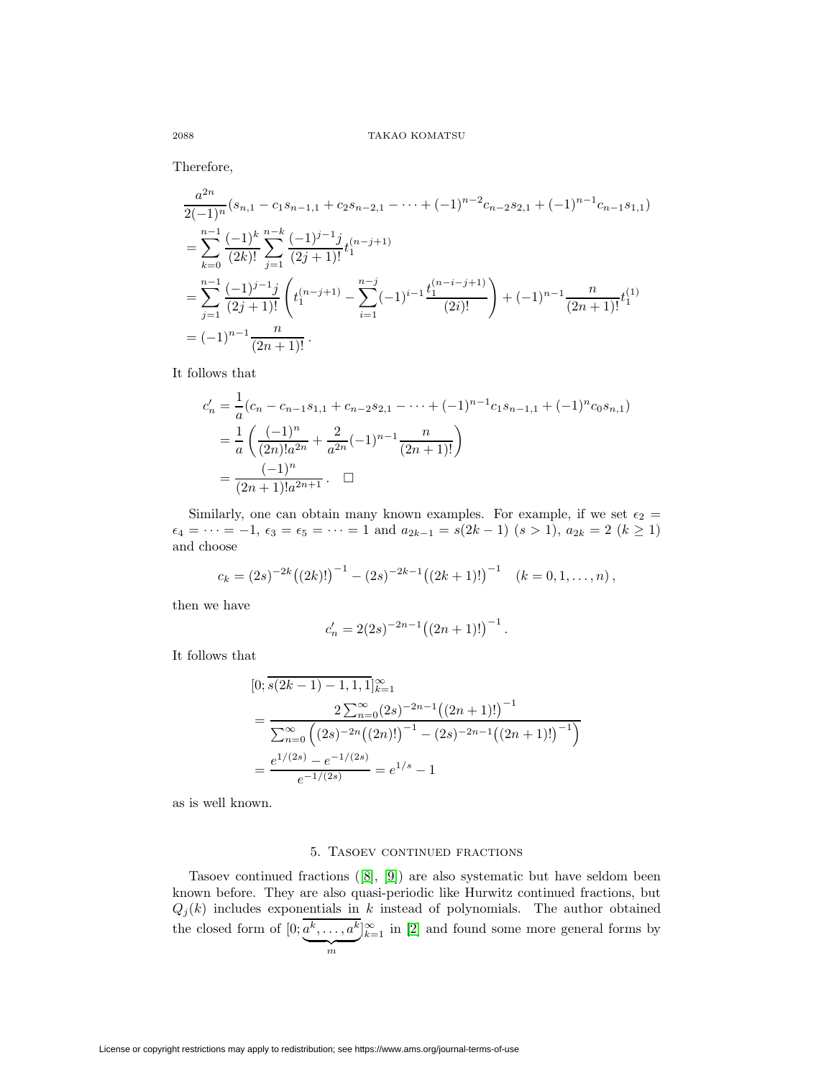Therefore,

$$
\frac{a^{2n}}{2(-1)^n}(s_{n,1} - c_1s_{n-1,1} + c_2s_{n-2,1} - \dots + (-1)^{n-2}c_{n-2}s_{2,1} + (-1)^{n-1}c_{n-1}s_{1,1})
$$
\n
$$
= \sum_{k=0}^{n-1} \frac{(-1)^k}{(2k)!} \sum_{j=1}^{n-k} \frac{(-1)^{j-1}j}{(2j+1)!} t_1^{(n-j+1)}
$$
\n
$$
= \sum_{j=1}^{n-1} \frac{(-1)^{j-1}j}{(2j+1)!} \left( t_1^{(n-j+1)} - \sum_{i=1}^{n-j} (-1)^{i-1} \frac{t_1^{(n-i-j+1)}}{(2i)!} \right) + (-1)^{n-1} \frac{n}{(2n+1)!} t_1^{(1)}
$$
\n
$$
= (-1)^{n-1} \frac{n}{(2n+1)!}.
$$

It follows that

$$
c'_{n} = \frac{1}{a}(c_{n} - c_{n-1}s_{1,1} + c_{n-2}s_{2,1} - \dots + (-1)^{n-1}c_{1}s_{n-1,1} + (-1)^{n}c_{0}s_{n,1})
$$
  
= 
$$
\frac{1}{a}\left(\frac{(-1)^{n}}{(2n)!a^{2n}} + \frac{2}{a^{2n}}(-1)^{n-1}\frac{n}{(2n+1)!}\right)
$$
  
= 
$$
\frac{(-1)^{n}}{(2n+1)!a^{2n+1}} \cdot \square
$$

Similarly, one can obtain many known examples. For example, if we set  $\epsilon_2 =$  $\epsilon_4 = \cdots = -1, \, \epsilon_3 = \epsilon_5 = \cdots = 1 \text{ and } a_{2k-1} = s(2k-1) \, (s > 1), \, a_{2k} = 2 \, (k \ge 1)$ and choose

$$
c_k = (2s)^{-2k} ((2k)!)^{-1} - (2s)^{-2k-1} ((2k+1)!)^{-1} \quad (k = 0, 1, ..., n),
$$

then we have

$$
c'_n = 2(2s)^{-2n-1}((2n+1)!)^{-1}.
$$

It follows that

$$
[0; s(2k-1) - 1, 1, 1]_{k=1}^{\infty}
$$
  
= 
$$
\frac{2 \sum_{n=0}^{\infty} (2s)^{-2n-1} ((2n+1)!)^{-1}}{\sum_{n=0}^{\infty} ((2s)^{-2n} ((2n)!)^{-1} - (2s)^{-2n-1} ((2n+1)!)^{-1})}
$$
  
= 
$$
\frac{e^{1/(2s)} - e^{-1/(2s)}}{e^{-1/(2s)}} = e^{1/s} - 1
$$

as is well known.

### 5. TASOEV CONTINUED FRACTIONS

Tasoev continued fractions ([\[8\]](#page-13-5), [\[9\]](#page-13-6)) are also systematic but have seldom been known before. They are also quasi-periodic like Hurwitz continued fractions, but  $Q_j(k)$  includes exponentials in k instead of polynomials. The author obtained the closed form of  $[0; a^k, \ldots, a^k]$  $\frac{1}{m}$  $]_{k=1}^{\infty}$  in [\[2\]](#page-13-7) and found some more general forms by

License or copyright restrictions may apply to redistribution; see https://www.ams.org/journal-terms-of-use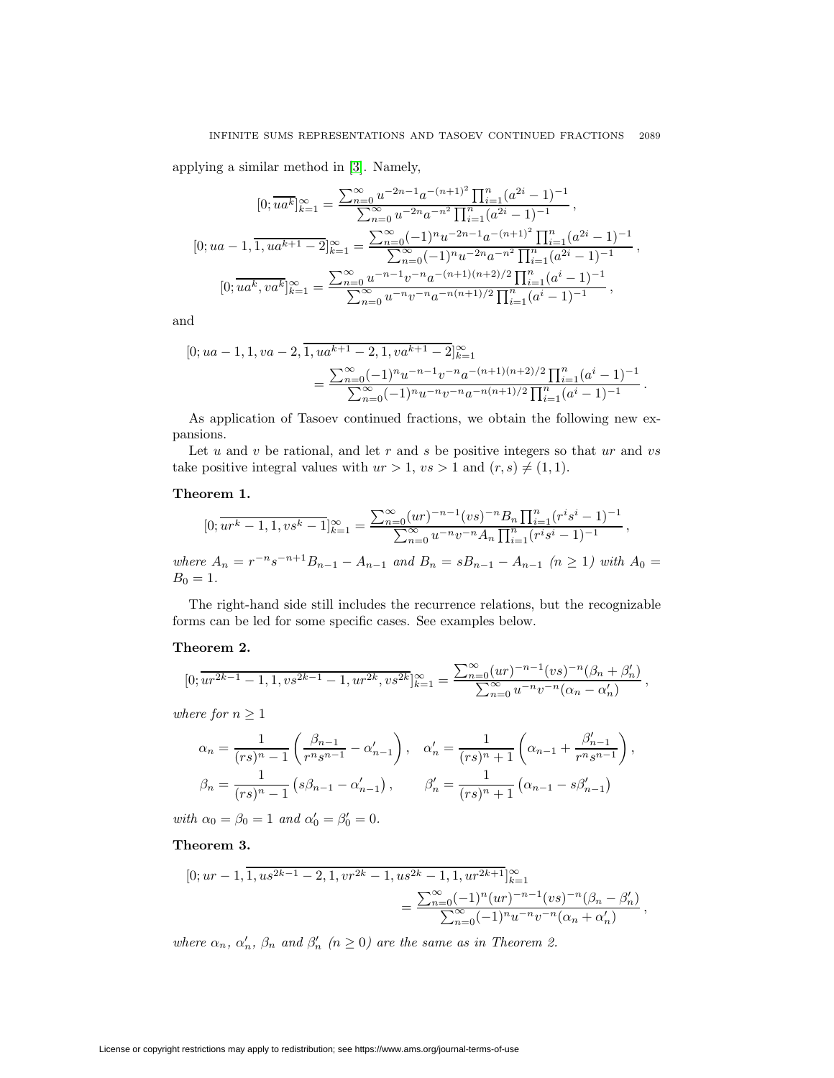applying a similar method in [\[3\]](#page-13-8). Namely,

$$
[0; \overline{ua^k}]_{k=1}^{\infty} = \frac{\sum_{n=0}^{\infty} u^{-2n-1} a^{-(n+1)^2} \prod_{i=1}^n (a^{2i} - 1)^{-1}}{\sum_{n=0}^{\infty} u^{-2n} a^{-n^2} \prod_{i=1}^n (a^{2i} - 1)^{-1}},
$$
  
\n
$$
[0; ua - 1, \overline{1, ua^{k+1} - 2}]_{k=1}^{\infty} = \frac{\sum_{n=0}^{\infty} (-1)^n u^{-2n-1} a^{-(n+1)^2} \prod_{i=1}^n (a^{2i} - 1)^{-1}}{\sum_{n=0}^{\infty} (-1)^n u^{-2n} a^{-n^2} \prod_{i=1}^n (a^{2i} - 1)^{-1}},
$$
  
\n
$$
[0; \overline{ua^k, va^k}]_{k=1}^{\infty} = \frac{\sum_{n=0}^{\infty} u^{-n-1} v^{-n} a^{-(n+1)(n+2)/2} \prod_{i=1}^n (a^i - 1)^{-1}}{\sum_{n=0}^{\infty} u^{-n} v^{-n} a^{-n(n+1)/2} \prod_{i=1}^n (a^i - 1)^{-1}},
$$

and

$$
[0; ua - 1, 1, va - 2, \overline{1, ua^{k+1} - 2, 1, va^{k+1} - 2}]_{k=1}^{\infty}
$$
  
= 
$$
\frac{\sum_{n=0}^{\infty} (-1)^n u^{-n-1} v^{-n} a^{-(n+1)(n+2)/2} \prod_{i=1}^n (a^i - 1)^{-1}}{\sum_{n=0}^{\infty} (-1)^n u^{-n} v^{-n} a^{-n(n+1)/2} \prod_{i=1}^n (a^i - 1)^{-1}}.
$$

As application of Tasoev continued fractions, we obtain the following new expansions.

Let  $u$  and  $v$  be rational, and let  $r$  and  $s$  be positive integers so that  $ur$  and  $vs$ take positive integral values with  $ur > 1$ ,  $vs > 1$  and  $(r, s) \neq (1, 1)$ .

## **Theorem 1.**

$$
[0; \overline{ur^k - 1, 1, vs^k - 1}]_{k=1}^{\infty} = \frac{\sum_{n=0}^{\infty} (ur)^{-n-1} (vs)^{-n} B_n \prod_{i=1}^n (r^i s^i - 1)^{-1}}{\sum_{n=0}^{\infty} u^{-n} v^{-n} A_n \prod_{i=1}^n (r^i s^i - 1)^{-1}},
$$
  
where  $A_n = r^{-n} s^{-n+1} B_{n-1} - A_{n-1}$  and  $B_n = s B_{n-1} - A_{n-1}$   $(n \ge 1)$  with  $A_0 =$ 

 $B_0 = 1.$ 

The right-hand side still includes the recurrence relations, but the recognizable forms can be led for some specific cases. See examples below.

### **Theorem 2.**

$$
[0; \overline{ur^{2k-1}-1, 1, vs^{2k-1}-1, ur^{2k}, vs^{2k}}]_{k=1}^{\infty} = \frac{\sum_{n=0}^{\infty} (ur)^{-n-1} (vs)^{-n} (\beta_n + \beta'_n)}{\sum_{n=0}^{\infty} u^{-n} v^{-n} (\alpha_n - \alpha'_n)},
$$

where for  $n \geq 1$ 

$$
\alpha_n = \frac{1}{(rs)^n - 1} \left( \frac{\beta_{n-1}}{r^n s^{n-1}} - \alpha'_{n-1} \right), \quad \alpha'_n = \frac{1}{(rs)^n + 1} \left( \alpha_{n-1} + \frac{\beta'_{n-1}}{r^n s^{n-1}} \right),
$$

$$
\beta_n = \frac{1}{(rs)^n - 1} \left( s\beta_{n-1} - \alpha'_{n-1} \right), \qquad \beta'_n = \frac{1}{(rs)^n + 1} \left( \alpha_{n-1} - s\beta'_{n-1} \right)
$$

with  $\alpha_0 = \beta_0 = 1$  and  $\alpha'_0 = \beta'_0 = 0$ .

**Theorem 3.**

$$
[0; ur-1, \overline{1, u s^{2k-1} - 2, 1, v r^{2k} - 1, u s^{2k} - 1, 1, u r^{2k+1}}]_{k=1}^{\infty}
$$
  
= 
$$
\frac{\sum_{n=0}^{\infty} (-1)^n (ur)^{-n-1} (vs)^{-n} (\beta_n - \beta'_n)}{\sum_{n=0}^{\infty} (-1)^n u^{-n} v^{-n} (\alpha_n + \alpha'_n)},
$$

where  $\alpha_n$ ,  $\alpha'_n$ ,  $\beta_n$  and  $\beta'_n$  ( $n \ge 0$ ) are the same as in Theorem 2.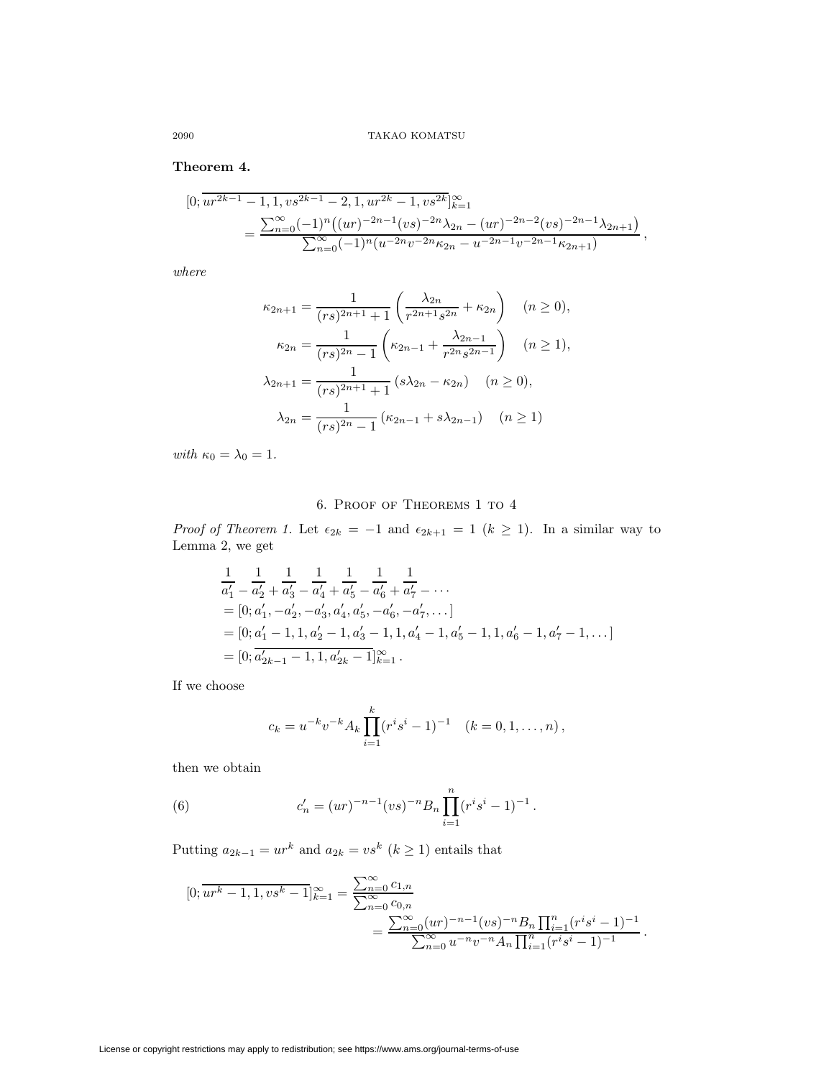## **Theorem 4.**

$$
[0; \overline{u r^{2k-1} - 1}, 1, vs^{2k-1} - 2, 1, ur^{2k} - 1, vs^{2k}]_{k=1}^{\infty}
$$
  
= 
$$
\frac{\sum_{n=0}^{\infty} (-1)^n ((ur)^{-2n-1} (vs)^{-2n} \lambda_{2n} - (ur)^{-2n-2} (vs)^{-2n-1} \lambda_{2n+1})}{\sum_{n=0}^{\infty} (-1)^n (u^{-2n} v^{-2n} \kappa_{2n} - u^{-2n-1} v^{-2n-1} \kappa_{2n+1})},
$$

where

$$
\kappa_{2n+1} = \frac{1}{(rs)^{2n+1} + 1} \left( \frac{\lambda_{2n}}{r^{2n+1} s^{2n}} + \kappa_{2n} \right) \quad (n \ge 0),
$$
  

$$
\kappa_{2n} = \frac{1}{(rs)^{2n} - 1} \left( \kappa_{2n-1} + \frac{\lambda_{2n-1}}{r^{2n} s^{2n-1}} \right) \quad (n \ge 1),
$$
  

$$
\lambda_{2n+1} = \frac{1}{(rs)^{2n+1} + 1} \left( s\lambda_{2n} - \kappa_{2n} \right) \quad (n \ge 0),
$$
  

$$
\lambda_{2n} = \frac{1}{(rs)^{2n} - 1} \left( \kappa_{2n-1} + s\lambda_{2n-1} \right) \quad (n \ge 1)
$$

with  $\kappa_0 = \lambda_0 = 1$ .

## 6. Proof of Theorems 1 to 4

*Proof of Theorem 1.* Let  $\epsilon_{2k} = -1$  and  $\epsilon_{2k+1} = 1$  ( $k \ge 1$ ). In a similar way to Lemma 2, we get

$$
\frac{1}{a'_1} - \frac{1}{a'_2} + \frac{1}{a'_3} - \frac{1}{a'_4} + \frac{1}{a'_5} - \frac{1}{a'_6} + \frac{1}{a'_7} - \cdots
$$
\n
$$
= [0; a'_1, -a'_2, -a'_3, a'_4, a'_5, -a'_6, -a'_7, \cdots]
$$
\n
$$
= [0; a'_1 - 1, 1, a'_2 - 1, a'_3 - 1, 1, a'_4 - 1, a'_5 - 1, 1, a'_6 - 1, a'_7 - 1, \cdots]
$$
\n
$$
= [0; a'_{2k-1} - 1, 1, a'_{2k} - 1]_{k=1}^{\infty}.
$$

If we choose

$$
c_k = u^{-k}v^{-k}A_k \prod_{i=1}^k (r^is^i - 1)^{-1} \quad (k = 0, 1, \dots, n),
$$

<span id="page-9-0"></span>then we obtain

(6) 
$$
c'_{n} = (ur)^{-n-1}(vs)^{-n}B_{n}\prod_{i=1}^{n}(r^{i}s^{i} - 1)^{-1}.
$$

Putting  $a_{2k-1} = ur^k$  and  $a_{2k} = vs^k$   $(k \ge 1)$  entails that

$$
[0; \overline{ur^{k} - 1, 1, vs^{k} - 1}]_{k=1}^{\infty} = \frac{\sum_{n=0}^{\infty} c_{1,n}}{\sum_{n=0}^{\infty} c_{0,n}} = \frac{\sum_{n=0}^{\infty} (ur)^{-n-1} (vs)^{-n} B_{n} \prod_{i=1}^{n} (r^{i} s^{i} - 1)^{-1}}{\sum_{n=0}^{\infty} u^{-n} v^{-n} A_{n} \prod_{i=1}^{n} (r^{i} s^{i} - 1)^{-1}}.
$$

License or copyright restrictions may apply to redistribution; see https://www.ams.org/journal-terms-of-use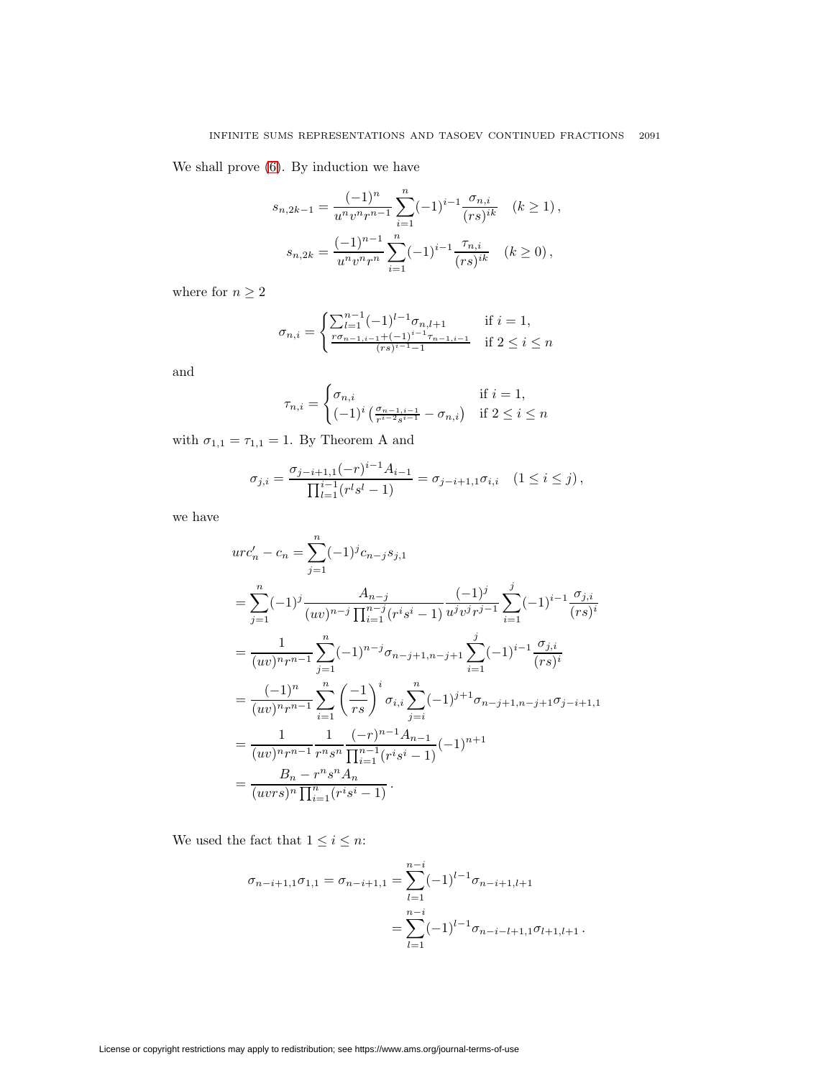We shall prove [\(6\)](#page-9-0). By induction we have

$$
s_{n,2k-1} = \frac{(-1)^n}{u^n v^n r^{n-1}} \sum_{i=1}^n (-1)^{i-1} \frac{\sigma_{n,i}}{(rs)^{ik}} \quad (k \ge 1),
$$
  

$$
s_{n,2k} = \frac{(-1)^{n-1}}{u^n v^n r^n} \sum_{i=1}^n (-1)^{i-1} \frac{\tau_{n,i}}{(rs)^{ik}} \quad (k \ge 0),
$$

where for  $n\geq 2$ 

$$
\sigma_{n,i} = \begin{cases} \sum_{l=1}^{n-1} (-1)^{l-1} \sigma_{n,l+1} & \text{if } i = 1, \\ \frac{r\sigma_{n-1,i-1} + (-1)^{i-1} \tau_{n-1,i-1}}{(rs)^{i-1} - 1} & \text{if } 2 \le i \le n \end{cases}
$$

and

$$
\tau_{n,i} = \begin{cases} \sigma_{n,i} & \text{if } i = 1, \\ (-1)^i \left( \frac{\sigma_{n-1,i-1}}{r^{i-2}s^{i-1}} - \sigma_{n,i} \right) & \text{if } 2 \le i \le n \end{cases}
$$

with  $\sigma_{1,1}=\tau_{1,1}=1.$  By Theorem A and

$$
\sigma_{j,i} = \frac{\sigma_{j-i+1,1}(-r)^{i-1}A_{i-1}}{\prod_{l=1}^{i-1}(r^l s^l - 1)} = \sigma_{j-i+1,1}\sigma_{i,i} \quad (1 \le i \le j),
$$

we have

$$
urc'_{n} - c_{n} = \sum_{j=1}^{n} (-1)^{j} c_{n-j} s_{j,1}
$$
  
\n
$$
= \sum_{j=1}^{n} (-1)^{j} \frac{A_{n-j}}{(uv)^{n-j} \prod_{i=1}^{n-j} (r^{i} s^{i} - 1)} \frac{(-1)^{j}}{u^{j} v^{j} r^{j-1}} \sum_{i=1}^{j} (-1)^{i-1} \frac{\sigma_{j,i}}{(rs)^{i}}
$$
  
\n
$$
= \frac{1}{(uv)^{n} r^{n-1}} \sum_{j=1}^{n} (-1)^{n-j} \sigma_{n-j+1,n-j+1} \sum_{i=1}^{j} (-1)^{i-1} \frac{\sigma_{j,i}}{(rs)^{i}}
$$
  
\n
$$
= \frac{(-1)^{n}}{(uv)^{n} r^{n-1}} \sum_{i=1}^{n} \left(\frac{-1}{rs}\right)^{i} \sigma_{i,i} \sum_{j=i}^{n} (-1)^{j+1} \sigma_{n-j+1,n-j+1} \sigma_{j-i+1,1}
$$
  
\n
$$
= \frac{1}{(uv)^{n} r^{n-1}} \frac{1}{r^{n} s^{n}} \frac{(-r)^{n-1} A_{n-1}}{\prod_{i=1}^{n-1} (r^{i} s^{i} - 1)} (-1)^{n+1}
$$
  
\n
$$
= \frac{B_{n} - r^{n} s^{n} A_{n}}{(uvrs)^{n} \prod_{i=1}^{n} (r^{i} s^{i} - 1)}.
$$

We used the fact that  $1\leq i\leq n:$ 

$$
\sigma_{n-i+1,1}\sigma_{1,1} = \sigma_{n-i+1,1} = \sum_{l=1}^{n-i} (-1)^{l-1} \sigma_{n-i+1,l+1}
$$

$$
= \sum_{l=1}^{n-i} (-1)^{l-1} \sigma_{n-i-l+1,1}\sigma_{l+1,l+1}.
$$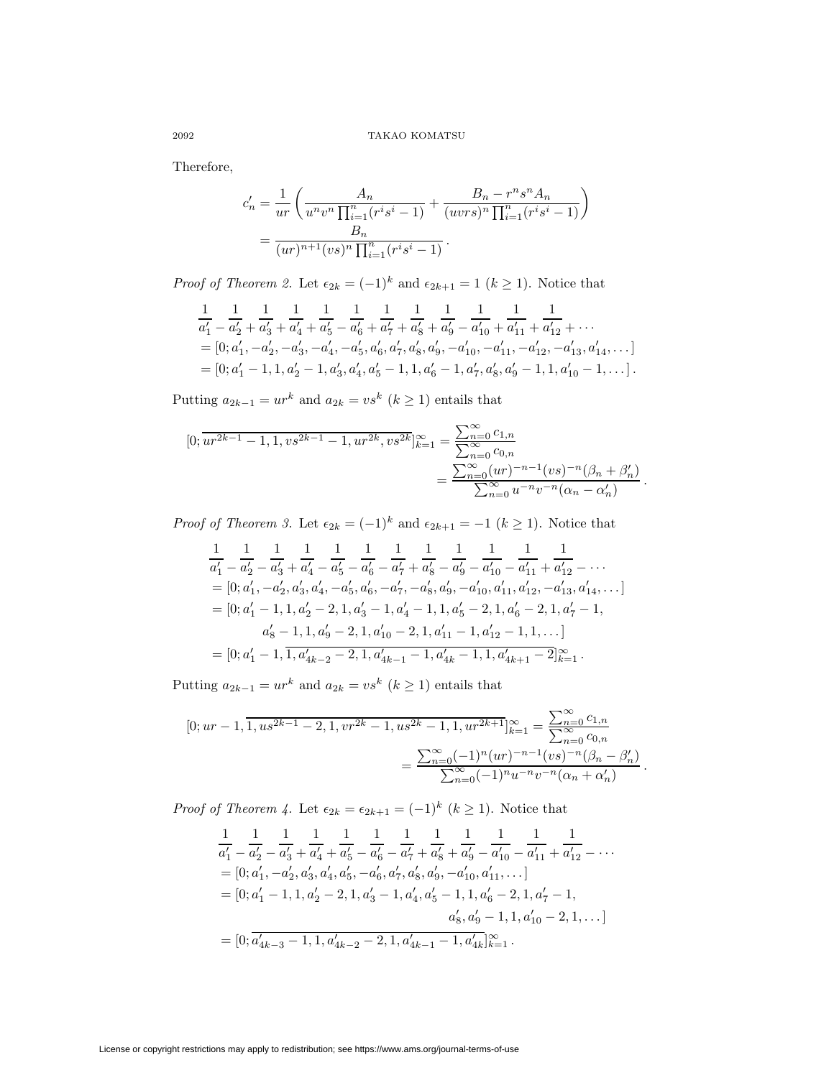Therefore,

$$
c'_{n} = \frac{1}{ur} \left( \frac{A_{n}}{u^{n}v^{n} \prod_{i=1}^{n} (r^{i}s^{i} - 1)} + \frac{B_{n} - r^{n}s^{n}A_{n}}{(uvrs)^{n} \prod_{i=1}^{n} (r^{i}s^{i} - 1)} \right)
$$
  
= 
$$
\frac{B_{n}}{(ur)^{n+1}(vs)^{n} \prod_{i=1}^{n} (r^{i}s^{i} - 1)}.
$$

*Proof of Theorem 2.* Let  $\epsilon_{2k} = (-1)^k$  and  $\epsilon_{2k+1} = 1$  ( $k \ge 1$ ). Notice that

$$
\frac{1}{a'_1} - \frac{1}{a'_2} + \frac{1}{a'_3} + \frac{1}{a'_4} + \frac{1}{a'_5} - \frac{1}{a'_6} + \frac{1}{a'_7} + \frac{1}{a'_8} + \frac{1}{a'_9} - \frac{1}{a'_{10}} + \frac{1}{a'_{11}} + \frac{1}{a'_{12}} + \cdots
$$
\n
$$
= [0; a'_1, -a'_2, -a'_3, -a'_4, -a'_5, a'_6, a'_7, a'_8, a'_9, -a'_{10}, -a'_{11}, -a'_{12}, -a'_{13}, a'_{14}, \cdots]
$$
\n
$$
= [0; a'_1 - 1, 1, a'_2 - 1, a'_3, a'_4, a'_5 - 1, 1, a'_6 - 1, a'_7, a'_8, a'_9 - 1, 1, a'_{10} - 1, \cdots].
$$

Putting  $a_{2k-1} = ur^k$  and  $a_{2k} = vs^k$   $(k \ge 1)$  entails that

$$
[0; \overline{ur^{2k-1} - 1}, 1, vs^{2k-1} - 1, ur^{2k}, vs^{2k}]_{k=1}^{\infty} = \frac{\sum_{n=0}^{\infty} c_{1,n}}{\sum_{n=0}^{\infty} c_{0,n}} = \frac{\sum_{n=0}^{\infty} (ur)^{-n-1} (vs)^{-n} (\beta_n + \beta'_n)}{\sum_{n=0}^{\infty} u^{-n} v^{-n} (\alpha_n - \alpha'_n)}.
$$

*Proof of Theorem 3.* Let  $\epsilon_{2k} = (-1)^k$  and  $\epsilon_{2k+1} = -1$  ( $k \ge 1$ ). Notice that

$$
\frac{1}{a'_1} - \frac{1}{a'_2} - \frac{1}{a'_3} + \frac{1}{a'_4} - \frac{1}{a'_5} - \frac{1}{a'_6} - \frac{1}{a'_7} + \frac{1}{a'_8} - \frac{1}{a'_9} - \frac{1}{a'_{10}} - \frac{1}{a'_{11}} + \frac{1}{a'_{12}} - \cdots
$$
\n
$$
= [0; a'_1, -a'_2, a'_3, a'_4, -a'_5, a'_6, -a'_7, -a'_8, a'_9, -a'_{10}, a'_{11}, a'_{12}, -a'_{13}, a'_{14}, \cdots]
$$
\n
$$
= [0; a'_1 - 1, 1, a'_2 - 2, 1, a'_3 - 1, a'_4 - 1, 1, a'_5 - 2, 1, a'_6 - 2, 1, a'_7 - 1,
$$
\n
$$
a'_8 - 1, 1, a'_9 - 2, 1, a'_{10} - 2, 1, a'_{11} - 1, a'_{12} - 1, 1, \cdots]
$$
\n
$$
= [0; a'_1 - 1, \overline{1, a'_{4k-2} - 2, 1, a'_{4k-1} - 1, a'_{4k} - 1, 1, a'_{4k+1} - 2]^{\infty}_{k=1}.
$$

Putting  $a_{2k-1} = ur^k$  and  $a_{2k} = vs^k$   $(k \ge 1)$  entails that

$$
[0; ur-1, \overline{1, u s^{2k-1} - 2, 1, v r^{2k} - 1, u s^{2k} - 1, 1, u r^{2k+1}}]_{k=1}^{\infty} = \frac{\sum_{n=0}^{\infty} c_{1,n}}{\sum_{n=0}^{\infty} c_{0,n}} = \frac{\sum_{n=0}^{\infty} (-1)^n (ur)^{-n-1} (vs)^{-n} (\beta_n - \beta'_n)}{\sum_{n=0}^{\infty} (-1)^n u^{-n} v^{-n} (\alpha_n + \alpha'_n)}.
$$

*Proof of Theorem 4.* Let  $\epsilon_{2k} = \epsilon_{2k+1} = (-1)^k$   $(k \ge 1)$ . Notice that

$$
\frac{1}{a'_1} - \frac{1}{a'_2} - \frac{1}{a'_3} + \frac{1}{a'_4} + \frac{1}{a'_5} - \frac{1}{a'_6} - \frac{1}{a'_7} + \frac{1}{a'_8} + \frac{1}{a'_9} - \frac{1}{a'_{10}} - \frac{1}{a'_{11}} + \frac{1}{a'_{12}} - \cdots
$$
\n
$$
= [0; a'_1, -a'_2, a'_3, a'_4, a'_5, -a'_6, a'_7, a'_8, a'_9, -a'_{10}, a'_{11}, \cdots]
$$
\n
$$
= [0; a'_1 - 1, 1, a'_2 - 2, 1, a'_3 - 1, a'_4, a'_5 - 1, 1, a'_6 - 2, 1, a'_7 - 1, \cdots]
$$
\n
$$
a'_8, a'_9 - 1, 1, a'_{10} - 2, 1, \cdots]
$$
\n
$$
= [0; \overline{a'_{4k-3} - 1, 1, a'_{4k-2} - 2, 1, a'_{4k-1} - 1, a'_{4k}}]_{k=1}^{\infty}.
$$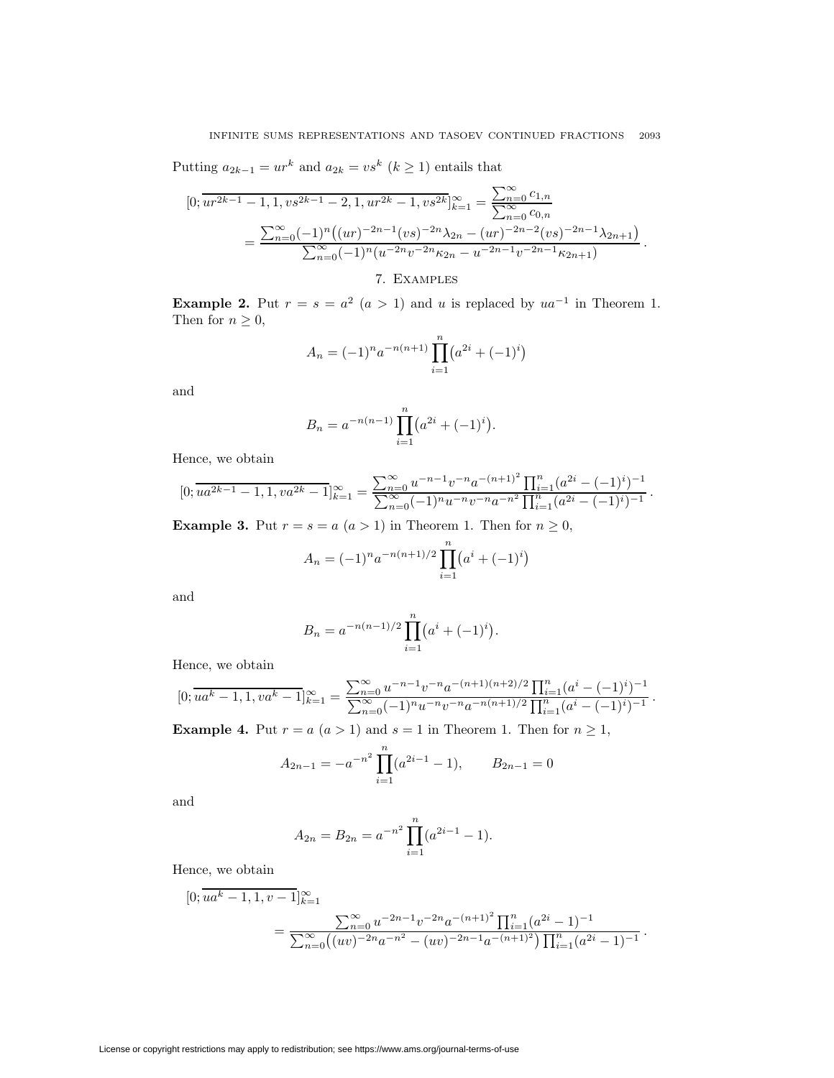Putting  $a_{2k-1} = ur^k$  and  $a_{2k} = vs^k$   $(k \ge 1)$  entails that

$$
[0; \overline{ur^{2k-1} - 1}, 1, vs^{2k-1} - 2, 1, ur^{2k} - 1, vs^{2k}]_{k=1}^{\infty} = \frac{\sum_{n=0}^{\infty} c_{1,n}}{\sum_{n=0}^{\infty} c_{0,n}}
$$
  
= 
$$
\frac{\sum_{n=0}^{\infty} (-1)^n ((ur)^{-2n-1}(vs)^{-2n} \lambda_{2n} - (ur)^{-2n-2}(vs)^{-2n-1} \lambda_{2n+1})}{\sum_{n=0}^{\infty} (-1)^n (u^{-2n}v^{-2n} \kappa_{2n} - u^{-2n-1}v^{-2n-1} \kappa_{2n+1})}.
$$

# 7. Examples

**Example 2.** Put  $r = s = a^2$   $(a > 1)$  and u is replaced by  $ua^{-1}$  in Theorem 1. Then for  $n \geq 0$ ,

$$
A_n = (-1)^n a^{-n(n+1)} \prod_{i=1}^n (a^{2i} + (-1)^i)
$$

and

$$
B_n = a^{-n(n-1)} \prod_{i=1}^n (a^{2i} + (-1)^i).
$$

Hence, we obtain

$$
[0; \overline{ua^{2k-1}-1}, 1, va^{2k}-1]_{k=1}^{\infty} = \frac{\sum_{n=0}^{\infty} u^{-n-1}v^{-n}a^{-(n+1)^2} \prod_{i=1}^n (a^{2i} - (-1)^i)^{-1}}{\sum_{n=0}^{\infty} (-1)^n u^{-n}v^{-n}a^{-n^2} \prod_{i=1}^n (a^{2i} - (-1)^i)^{-1}}.
$$

**Example 3.** Put  $r = s = a$   $(a > 1)$  in Theorem 1. Then for  $n \geq 0$ ,

$$
A_n = (-1)^n a^{-n(n+1)/2} \prod_{i=1}^n (a^i + (-1)^i)
$$

and

$$
B_n = a^{-n(n-1)/2} \prod_{i=1}^n (a^i + (-1)^i).
$$

Hence, we obtain

$$
[0; \overline{ua^k - 1, 1, va^k - 1}]_{k=1}^{\infty} = \frac{\sum_{n=0}^{\infty} u^{-n-1} v^{-n} a^{-(n+1)(n+2)/2} \prod_{i=1}^n (a^i - (-1)^i)^{-1}}{\sum_{n=0}^{\infty} (-1)^n u^{-n} v^{-n} a^{-n(n+1)/2} \prod_{i=1}^n (a^i - (-1)^i)^{-1}}.
$$

**Example 4.** Put  $r = a$   $(a > 1)$  and  $s = 1$  in Theorem 1. Then for  $n \ge 1$ ,

$$
A_{2n-1} = -a^{-n^2} \prod_{i=1}^{n} (a^{2i-1} - 1), \qquad B_{2n-1} = 0
$$

and

$$
A_{2n} = B_{2n} = a^{-n^2} \prod_{i=1}^{n} (a^{2i-1} - 1).
$$

Hence, we obtain

$$
[0; \overline{ua^k - 1, 1, v - 1}]_{k=1}^{\infty}
$$
  
= 
$$
\frac{\sum_{n=0}^{\infty} u^{-2n-1} v^{-2n} a^{-(n+1)^2} \prod_{i=1}^n (a^{2i} - 1)^{-1}}{\sum_{n=0}^{\infty} ((uv)^{-2n} a^{-n^2} - (uv)^{-2n-1} a^{-(n+1)^2}) \prod_{i=1}^n (a^{2i} - 1)^{-1}}.
$$